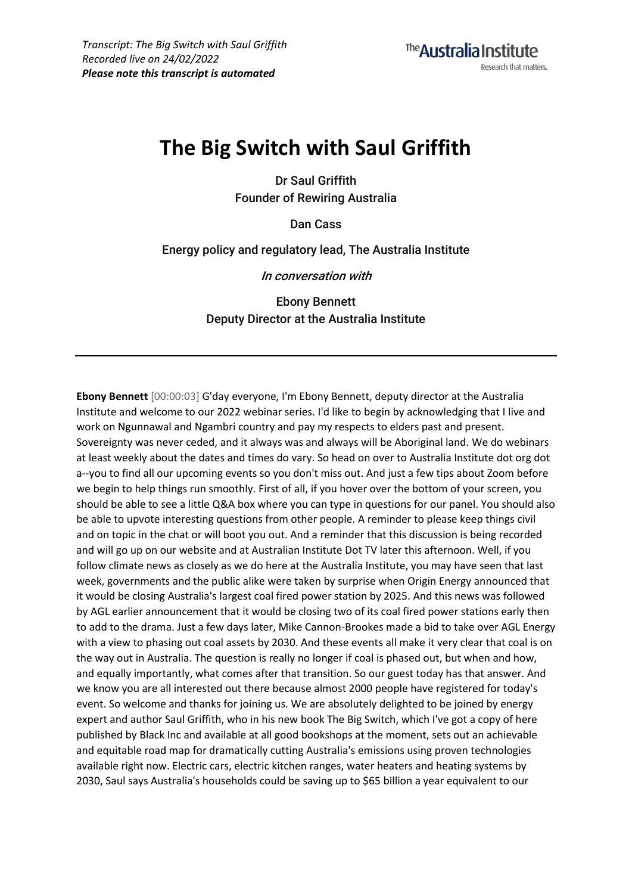## **The Big Switch with Saul Griffith**

**Dr Saul Griffith Founder of Rewiring Australia**

**Dan Cass**

**Energy policy and regulatory lead, The Australia Institute**

**In conversation with**

**Ebony Bennett Deputy Director at the Australia Institute**

**Ebony Bennett** [00:00:03] G'day everyone, I'm Ebony Bennett, deputy director at the Australia Institute and welcome to our 2022 webinar series. I'd like to begin by acknowledging that I live and work on Ngunnawal and Ngambri country and pay my respects to elders past and present. Sovereignty was never ceded, and it always was and always will be Aboriginal land. We do webinars at least weekly about the dates and times do vary. So head on over to Australia Institute dot org dot a--you to find all our upcoming events so you don't miss out. And just a few tips about Zoom before we begin to help things run smoothly. First of all, if you hover over the bottom of your screen, you should be able to see a little Q&A box where you can type in questions for our panel. You should also be able to upvote interesting questions from other people. A reminder to please keep things civil and on topic in the chat or will boot you out. And a reminder that this discussion is being recorded and will go up on our website and at Australian Institute Dot TV later this afternoon. Well, if you follow climate news as closely as we do here at the Australia Institute, you may have seen that last week, governments and the public alike were taken by surprise when Origin Energy announced that it would be closing Australia's largest coal fired power station by 2025. And this news was followed by AGL earlier announcement that it would be closing two of its coal fired power stations early then to add to the drama. Just a few days later, Mike Cannon-Brookes made a bid to take over AGL Energy with a view to phasing out coal assets by 2030. And these events all make it very clear that coal is on the way out in Australia. The question is really no longer if coal is phased out, but when and how, and equally importantly, what comes after that transition. So our guest today has that answer. And we know you are all interested out there because almost 2000 people have registered for today's event. So welcome and thanks for joining us. We are absolutely delighted to be joined by energy expert and author Saul Griffith, who in his new book The Big Switch, which I've got a copy of here published by Black Inc and available at all good bookshops at the moment, sets out an achievable and equitable road map for dramatically cutting Australia's emissions using proven technologies available right now. Electric cars, electric kitchen ranges, water heaters and heating systems by 2030, Saul says Australia's households could be saving up to \$65 billion a year equivalent to our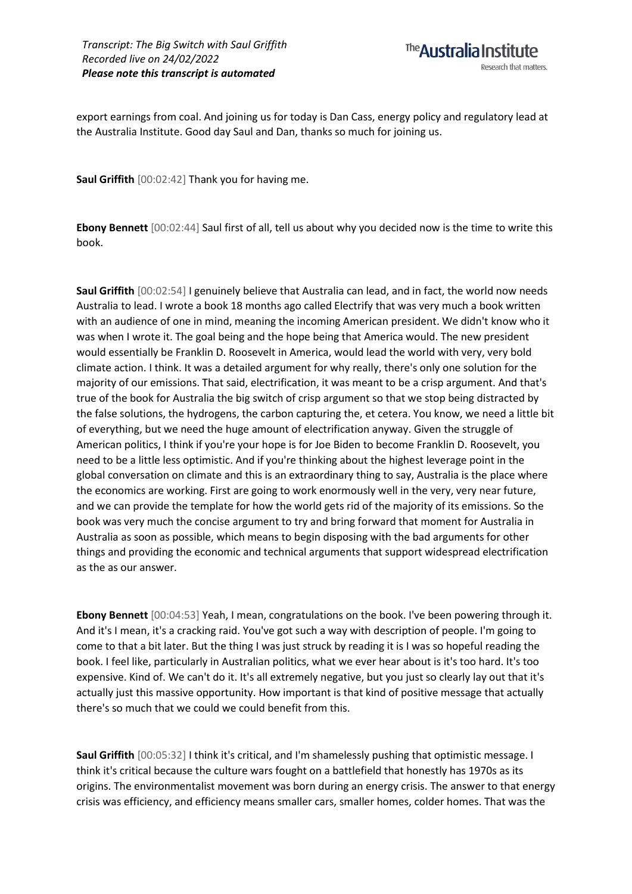export earnings from coal. And joining us for today is Dan Cass, energy policy and regulatory lead at the Australia Institute. Good day Saul and Dan, thanks so much for joining us.

**Saul Griffith** [00:02:42] Thank you for having me.

**Ebony Bennett** [00:02:44] Saul first of all, tell us about why you decided now is the time to write this book.

**Saul Griffith** [00:02:54] I genuinely believe that Australia can lead, and in fact, the world now needs Australia to lead. I wrote a book 18 months ago called Electrify that was very much a book written with an audience of one in mind, meaning the incoming American president. We didn't know who it was when I wrote it. The goal being and the hope being that America would. The new president would essentially be Franklin D. Roosevelt in America, would lead the world with very, very bold climate action. I think. It was a detailed argument for why really, there's only one solution for the majority of our emissions. That said, electrification, it was meant to be a crisp argument. And that's true of the book for Australia the big switch of crisp argument so that we stop being distracted by the false solutions, the hydrogens, the carbon capturing the, et cetera. You know, we need a little bit of everything, but we need the huge amount of electrification anyway. Given the struggle of American politics, I think if you're your hope is for Joe Biden to become Franklin D. Roosevelt, you need to be a little less optimistic. And if you're thinking about the highest leverage point in the global conversation on climate and this is an extraordinary thing to say, Australia is the place where the economics are working. First are going to work enormously well in the very, very near future, and we can provide the template for how the world gets rid of the majority of its emissions. So the book was very much the concise argument to try and bring forward that moment for Australia in Australia as soon as possible, which means to begin disposing with the bad arguments for other things and providing the economic and technical arguments that support widespread electrification as the as our answer.

**Ebony Bennett** [00:04:53] Yeah, I mean, congratulations on the book. I've been powering through it. And it's I mean, it's a cracking raid. You've got such a way with description of people. I'm going to come to that a bit later. But the thing I was just struck by reading it is I was so hopeful reading the book. I feel like, particularly in Australian politics, what we ever hear about is it's too hard. It's too expensive. Kind of. We can't do it. It's all extremely negative, but you just so clearly lay out that it's actually just this massive opportunity. How important is that kind of positive message that actually there's so much that we could we could benefit from this.

**Saul Griffith** [00:05:32] I think it's critical, and I'm shamelessly pushing that optimistic message. I think it's critical because the culture wars fought on a battlefield that honestly has 1970s as its origins. The environmentalist movement was born during an energy crisis. The answer to that energy crisis was efficiency, and efficiency means smaller cars, smaller homes, colder homes. That was the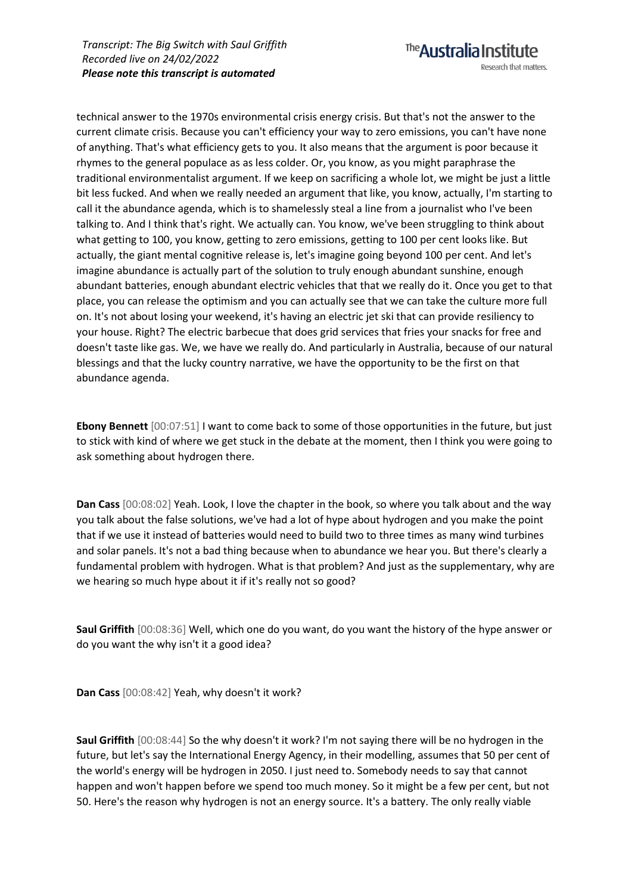technical answer to the 1970s environmental crisis energy crisis. But that's not the answer to the current climate crisis. Because you can't efficiency your way to zero emissions, you can't have none of anything. That's what efficiency gets to you. It also means that the argument is poor because it rhymes to the general populace as as less colder. Or, you know, as you might paraphrase the traditional environmentalist argument. If we keep on sacrificing a whole lot, we might be just a little bit less fucked. And when we really needed an argument that like, you know, actually, I'm starting to call it the abundance agenda, which is to shamelessly steal a line from a journalist who I've been talking to. And I think that's right. We actually can. You know, we've been struggling to think about what getting to 100, you know, getting to zero emissions, getting to 100 per cent looks like. But actually, the giant mental cognitive release is, let's imagine going beyond 100 per cent. And let's imagine abundance is actually part of the solution to truly enough abundant sunshine, enough abundant batteries, enough abundant electric vehicles that that we really do it. Once you get to that place, you can release the optimism and you can actually see that we can take the culture more full on. It's not about losing your weekend, it's having an electric jet ski that can provide resiliency to your house. Right? The electric barbecue that does grid services that fries your snacks for free and doesn't taste like gas. We, we have we really do. And particularly in Australia, because of our natural blessings and that the lucky country narrative, we have the opportunity to be the first on that abundance agenda.

**Ebony Bennett** [00:07:51] I want to come back to some of those opportunities in the future, but just to stick with kind of where we get stuck in the debate at the moment, then I think you were going to ask something about hydrogen there.

**Dan Cass** [00:08:02] Yeah. Look, I love the chapter in the book, so where you talk about and the way you talk about the false solutions, we've had a lot of hype about hydrogen and you make the point that if we use it instead of batteries would need to build two to three times as many wind turbines and solar panels. It's not a bad thing because when to abundance we hear you. But there's clearly a fundamental problem with hydrogen. What is that problem? And just as the supplementary, why are we hearing so much hype about it if it's really not so good?

**Saul Griffith** [00:08:36] Well, which one do you want, do you want the history of the hype answer or do you want the why isn't it a good idea?

**Dan Cass** [00:08:42] Yeah, why doesn't it work?

**Saul Griffith** [00:08:44] So the why doesn't it work? I'm not saying there will be no hydrogen in the future, but let's say the International Energy Agency, in their modelling, assumes that 50 per cent of the world's energy will be hydrogen in 2050. I just need to. Somebody needs to say that cannot happen and won't happen before we spend too much money. So it might be a few per cent, but not 50. Here's the reason why hydrogen is not an energy source. It's a battery. The only really viable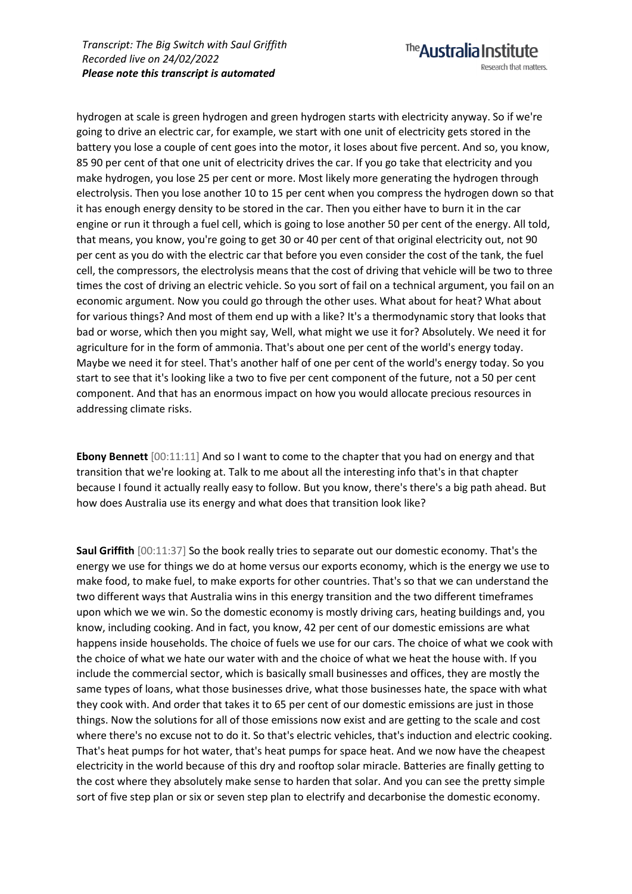hydrogen at scale is green hydrogen and green hydrogen starts with electricity anyway. So if we're going to drive an electric car, for example, we start with one unit of electricity gets stored in the battery you lose a couple of cent goes into the motor, it loses about five percent. And so, you know, 85 90 per cent of that one unit of electricity drives the car. If you go take that electricity and you make hydrogen, you lose 25 per cent or more. Most likely more generating the hydrogen through electrolysis. Then you lose another 10 to 15 per cent when you compress the hydrogen down so that it has enough energy density to be stored in the car. Then you either have to burn it in the car engine or run it through a fuel cell, which is going to lose another 50 per cent of the energy. All told, that means, you know, you're going to get 30 or 40 per cent of that original electricity out, not 90 per cent as you do with the electric car that before you even consider the cost of the tank, the fuel cell, the compressors, the electrolysis means that the cost of driving that vehicle will be two to three times the cost of driving an electric vehicle. So you sort of fail on a technical argument, you fail on an economic argument. Now you could go through the other uses. What about for heat? What about for various things? And most of them end up with a like? It's a thermodynamic story that looks that bad or worse, which then you might say, Well, what might we use it for? Absolutely. We need it for agriculture for in the form of ammonia. That's about one per cent of the world's energy today. Maybe we need it for steel. That's another half of one per cent of the world's energy today. So you start to see that it's looking like a two to five per cent component of the future, not a 50 per cent component. And that has an enormous impact on how you would allocate precious resources in addressing climate risks.

**Ebony Bennett** [00:11:11] And so I want to come to the chapter that you had on energy and that transition that we're looking at. Talk to me about all the interesting info that's in that chapter because I found it actually really easy to follow. But you know, there's there's a big path ahead. But how does Australia use its energy and what does that transition look like?

**Saul Griffith** [00:11:37] So the book really tries to separate out our domestic economy. That's the energy we use for things we do at home versus our exports economy, which is the energy we use to make food, to make fuel, to make exports for other countries. That's so that we can understand the two different ways that Australia wins in this energy transition and the two different timeframes upon which we we win. So the domestic economy is mostly driving cars, heating buildings and, you know, including cooking. And in fact, you know, 42 per cent of our domestic emissions are what happens inside households. The choice of fuels we use for our cars. The choice of what we cook with the choice of what we hate our water with and the choice of what we heat the house with. If you include the commercial sector, which is basically small businesses and offices, they are mostly the same types of loans, what those businesses drive, what those businesses hate, the space with what they cook with. And order that takes it to 65 per cent of our domestic emissions are just in those things. Now the solutions for all of those emissions now exist and are getting to the scale and cost where there's no excuse not to do it. So that's electric vehicles, that's induction and electric cooking. That's heat pumps for hot water, that's heat pumps for space heat. And we now have the cheapest electricity in the world because of this dry and rooftop solar miracle. Batteries are finally getting to the cost where they absolutely make sense to harden that solar. And you can see the pretty simple sort of five step plan or six or seven step plan to electrify and decarbonise the domestic economy.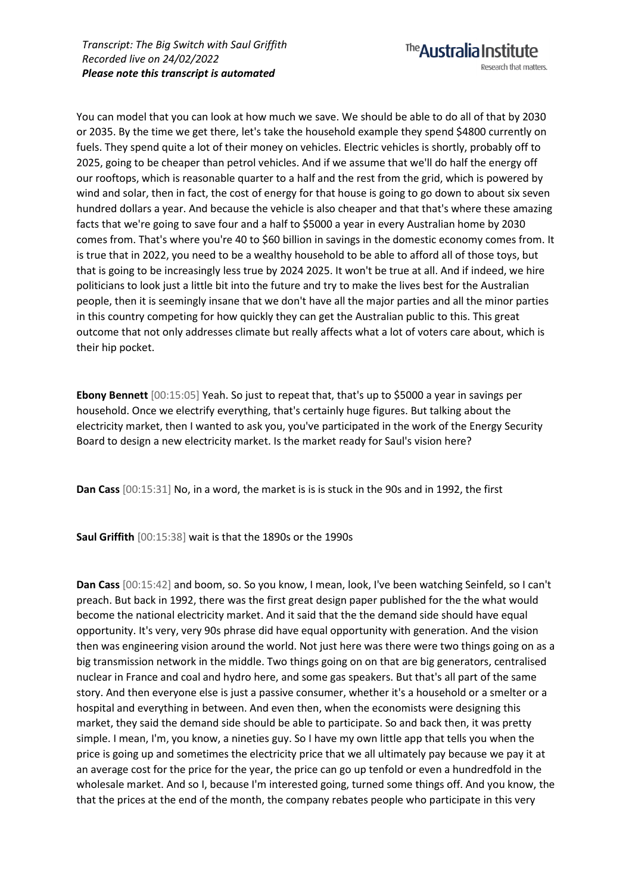You can model that you can look at how much we save. We should be able to do all of that by 2030 or 2035. By the time we get there, let's take the household example they spend \$4800 currently on fuels. They spend quite a lot of their money on vehicles. Electric vehicles is shortly, probably off to 2025, going to be cheaper than petrol vehicles. And if we assume that we'll do half the energy off our rooftops, which is reasonable quarter to a half and the rest from the grid, which is powered by wind and solar, then in fact, the cost of energy for that house is going to go down to about six seven hundred dollars a year. And because the vehicle is also cheaper and that that's where these amazing facts that we're going to save four and a half to \$5000 a year in every Australian home by 2030 comes from. That's where you're 40 to \$60 billion in savings in the domestic economy comes from. It is true that in 2022, you need to be a wealthy household to be able to afford all of those toys, but that is going to be increasingly less true by 2024 2025. It won't be true at all. And if indeed, we hire politicians to look just a little bit into the future and try to make the lives best for the Australian people, then it is seemingly insane that we don't have all the major parties and all the minor parties in this country competing for how quickly they can get the Australian public to this. This great outcome that not only addresses climate but really affects what a lot of voters care about, which is their hip pocket.

**Ebony Bennett** [00:15:05] Yeah. So just to repeat that, that's up to \$5000 a year in savings per household. Once we electrify everything, that's certainly huge figures. But talking about the electricity market, then I wanted to ask you, you've participated in the work of the Energy Security Board to design a new electricity market. Is the market ready for Saul's vision here?

**Dan Cass** [00:15:31] No, in a word, the market is is is stuck in the 90s and in 1992, the first

**Saul Griffith** [00:15:38] wait is that the 1890s or the 1990s

**Dan Cass** [00:15:42] and boom, so. So you know, I mean, look, I've been watching Seinfeld, so I can't preach. But back in 1992, there was the first great design paper published for the the what would become the national electricity market. And it said that the the demand side should have equal opportunity. It's very, very 90s phrase did have equal opportunity with generation. And the vision then was engineering vision around the world. Not just here was there were two things going on as a big transmission network in the middle. Two things going on on that are big generators, centralised nuclear in France and coal and hydro here, and some gas speakers. But that's all part of the same story. And then everyone else is just a passive consumer, whether it's a household or a smelter or a hospital and everything in between. And even then, when the economists were designing this market, they said the demand side should be able to participate. So and back then, it was pretty simple. I mean, I'm, you know, a nineties guy. So I have my own little app that tells you when the price is going up and sometimes the electricity price that we all ultimately pay because we pay it at an average cost for the price for the year, the price can go up tenfold or even a hundredfold in the wholesale market. And so I, because I'm interested going, turned some things off. And you know, the that the prices at the end of the month, the company rebates people who participate in this very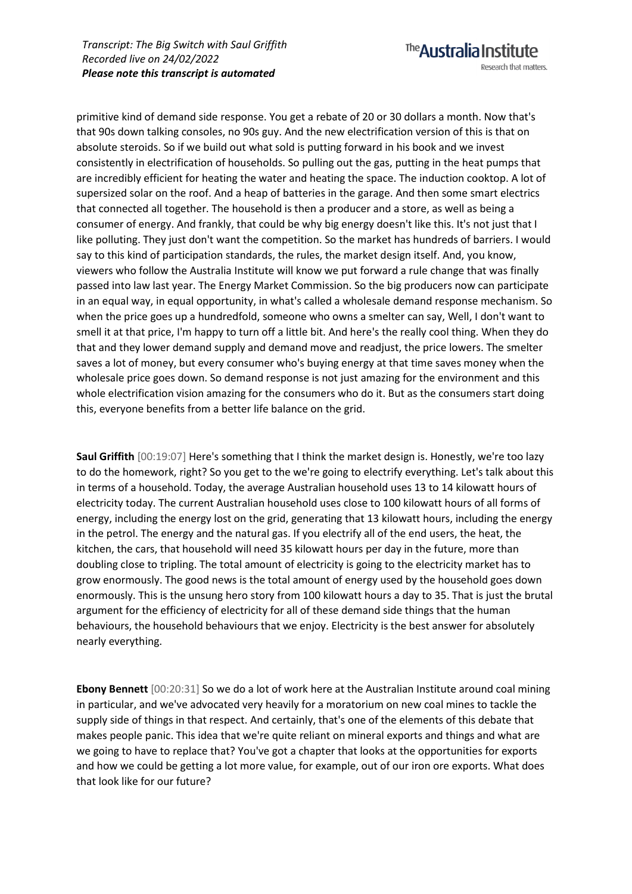primitive kind of demand side response. You get a rebate of 20 or 30 dollars a month. Now that's that 90s down talking consoles, no 90s guy. And the new electrification version of this is that on absolute steroids. So if we build out what sold is putting forward in his book and we invest consistently in electrification of households. So pulling out the gas, putting in the heat pumps that are incredibly efficient for heating the water and heating the space. The induction cooktop. A lot of supersized solar on the roof. And a heap of batteries in the garage. And then some smart electrics that connected all together. The household is then a producer and a store, as well as being a consumer of energy. And frankly, that could be why big energy doesn't like this. It's not just that I like polluting. They just don't want the competition. So the market has hundreds of barriers. I would say to this kind of participation standards, the rules, the market design itself. And, you know, viewers who follow the Australia Institute will know we put forward a rule change that was finally passed into law last year. The Energy Market Commission. So the big producers now can participate in an equal way, in equal opportunity, in what's called a wholesale demand response mechanism. So when the price goes up a hundredfold, someone who owns a smelter can say, Well, I don't want to smell it at that price, I'm happy to turn off a little bit. And here's the really cool thing. When they do that and they lower demand supply and demand move and readjust, the price lowers. The smelter saves a lot of money, but every consumer who's buying energy at that time saves money when the wholesale price goes down. So demand response is not just amazing for the environment and this whole electrification vision amazing for the consumers who do it. But as the consumers start doing this, everyone benefits from a better life balance on the grid.

**Saul Griffith** [00:19:07] Here's something that I think the market design is. Honestly, we're too lazy to do the homework, right? So you get to the we're going to electrify everything. Let's talk about this in terms of a household. Today, the average Australian household uses 13 to 14 kilowatt hours of electricity today. The current Australian household uses close to 100 kilowatt hours of all forms of energy, including the energy lost on the grid, generating that 13 kilowatt hours, including the energy in the petrol. The energy and the natural gas. If you electrify all of the end users, the heat, the kitchen, the cars, that household will need 35 kilowatt hours per day in the future, more than doubling close to tripling. The total amount of electricity is going to the electricity market has to grow enormously. The good news is the total amount of energy used by the household goes down enormously. This is the unsung hero story from 100 kilowatt hours a day to 35. That is just the brutal argument for the efficiency of electricity for all of these demand side things that the human behaviours, the household behaviours that we enjoy. Electricity is the best answer for absolutely nearly everything.

**Ebony Bennett** [00:20:31] So we do a lot of work here at the Australian Institute around coal mining in particular, and we've advocated very heavily for a moratorium on new coal mines to tackle the supply side of things in that respect. And certainly, that's one of the elements of this debate that makes people panic. This idea that we're quite reliant on mineral exports and things and what are we going to have to replace that? You've got a chapter that looks at the opportunities for exports and how we could be getting a lot more value, for example, out of our iron ore exports. What does that look like for our future?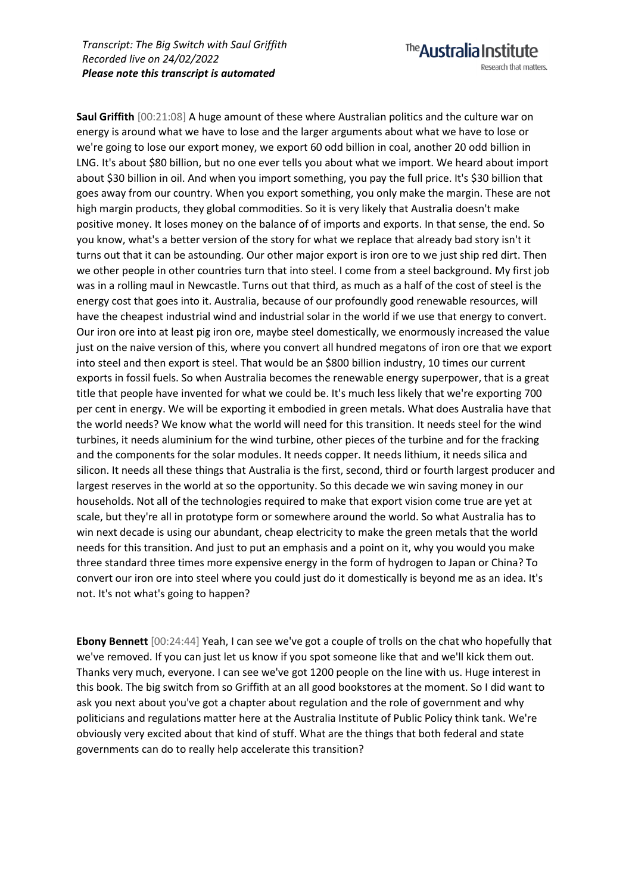The **Australia Institute** Research that matters. **Saul Griffith** [00:21:08] A huge amount of these where Australian politics and the culture war on

energy is around what we have to lose and the larger arguments about what we have to lose or we're going to lose our export money, we export 60 odd billion in coal, another 20 odd billion in LNG. It's about \$80 billion, but no one ever tells you about what we import. We heard about import about \$30 billion in oil. And when you import something, you pay the full price. It's \$30 billion that goes away from our country. When you export something, you only make the margin. These are not high margin products, they global commodities. So it is very likely that Australia doesn't make positive money. It loses money on the balance of of imports and exports. In that sense, the end. So you know, what's a better version of the story for what we replace that already bad story isn't it turns out that it can be astounding. Our other major export is iron ore to we just ship red dirt. Then we other people in other countries turn that into steel. I come from a steel background. My first job was in a rolling maul in Newcastle. Turns out that third, as much as a half of the cost of steel is the energy cost that goes into it. Australia, because of our profoundly good renewable resources, will have the cheapest industrial wind and industrial solar in the world if we use that energy to convert. Our iron ore into at least pig iron ore, maybe steel domestically, we enormously increased the value just on the naive version of this, where you convert all hundred megatons of iron ore that we export into steel and then export is steel. That would be an \$800 billion industry, 10 times our current exports in fossil fuels. So when Australia becomes the renewable energy superpower, that is a great title that people have invented for what we could be. It's much less likely that we're exporting 700 per cent in energy. We will be exporting it embodied in green metals. What does Australia have that the world needs? We know what the world will need for this transition. It needs steel for the wind turbines, it needs aluminium for the wind turbine, other pieces of the turbine and for the fracking and the components for the solar modules. It needs copper. It needs lithium, it needs silica and silicon. It needs all these things that Australia is the first, second, third or fourth largest producer and largest reserves in the world at so the opportunity. So this decade we win saving money in our households. Not all of the technologies required to make that export vision come true are yet at scale, but they're all in prototype form or somewhere around the world. So what Australia has to win next decade is using our abundant, cheap electricity to make the green metals that the world needs for this transition. And just to put an emphasis and a point on it, why you would you make three standard three times more expensive energy in the form of hydrogen to Japan or China? To convert our iron ore into steel where you could just do it domestically is beyond me as an idea. It's not. It's not what's going to happen?

**Ebony Bennett** [00:24:44] Yeah, I can see we've got a couple of trolls on the chat who hopefully that we've removed. If you can just let us know if you spot someone like that and we'll kick them out. Thanks very much, everyone. I can see we've got 1200 people on the line with us. Huge interest in this book. The big switch from so Griffith at an all good bookstores at the moment. So I did want to ask you next about you've got a chapter about regulation and the role of government and why politicians and regulations matter here at the Australia Institute of Public Policy think tank. We're obviously very excited about that kind of stuff. What are the things that both federal and state governments can do to really help accelerate this transition?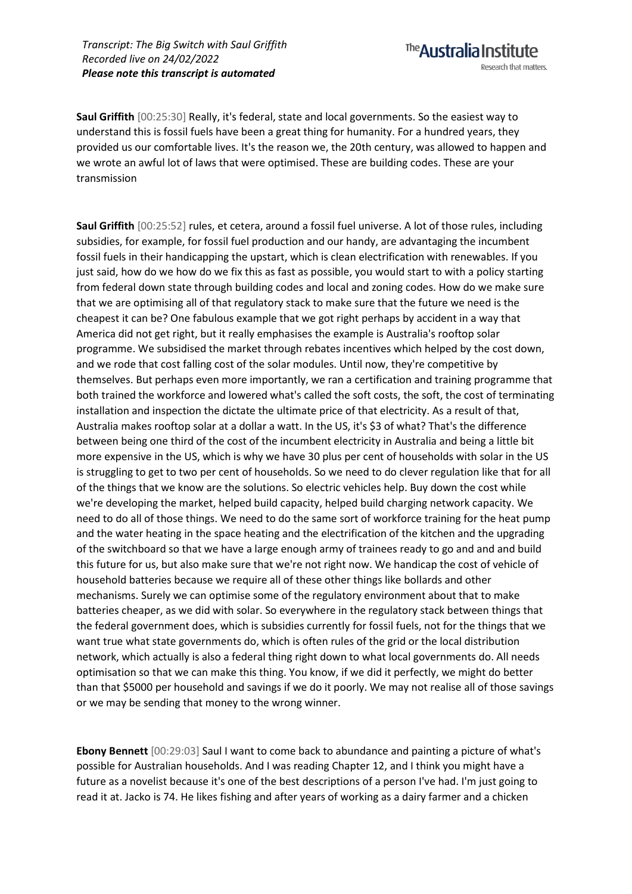The **Australia Institute** Research that matters.

**Saul Griffith** [00:25:30] Really, it's federal, state and local governments. So the easiest way to understand this is fossil fuels have been a great thing for humanity. For a hundred years, they provided us our comfortable lives. It's the reason we, the 20th century, was allowed to happen and we wrote an awful lot of laws that were optimised. These are building codes. These are your transmission

**Saul Griffith** [00:25:52] rules, et cetera, around a fossil fuel universe. A lot of those rules, including subsidies, for example, for fossil fuel production and our handy, are advantaging the incumbent fossil fuels in their handicapping the upstart, which is clean electrification with renewables. If you just said, how do we how do we fix this as fast as possible, you would start to with a policy starting from federal down state through building codes and local and zoning codes. How do we make sure that we are optimising all of that regulatory stack to make sure that the future we need is the cheapest it can be? One fabulous example that we got right perhaps by accident in a way that America did not get right, but it really emphasises the example is Australia's rooftop solar programme. We subsidised the market through rebates incentives which helped by the cost down, and we rode that cost falling cost of the solar modules. Until now, they're competitive by themselves. But perhaps even more importantly, we ran a certification and training programme that both trained the workforce and lowered what's called the soft costs, the soft, the cost of terminating installation and inspection the dictate the ultimate price of that electricity. As a result of that, Australia makes rooftop solar at a dollar a watt. In the US, it's \$3 of what? That's the difference between being one third of the cost of the incumbent electricity in Australia and being a little bit more expensive in the US, which is why we have 30 plus per cent of households with solar in the US is struggling to get to two per cent of households. So we need to do clever regulation like that for all of the things that we know are the solutions. So electric vehicles help. Buy down the cost while we're developing the market, helped build capacity, helped build charging network capacity. We need to do all of those things. We need to do the same sort of workforce training for the heat pump and the water heating in the space heating and the electrification of the kitchen and the upgrading of the switchboard so that we have a large enough army of trainees ready to go and and and build this future for us, but also make sure that we're not right now. We handicap the cost of vehicle of household batteries because we require all of these other things like bollards and other mechanisms. Surely we can optimise some of the regulatory environment about that to make batteries cheaper, as we did with solar. So everywhere in the regulatory stack between things that the federal government does, which is subsidies currently for fossil fuels, not for the things that we want true what state governments do, which is often rules of the grid or the local distribution network, which actually is also a federal thing right down to what local governments do. All needs optimisation so that we can make this thing. You know, if we did it perfectly, we might do better than that \$5000 per household and savings if we do it poorly. We may not realise all of those savings or we may be sending that money to the wrong winner.

**Ebony Bennett** [00:29:03] Saul I want to come back to abundance and painting a picture of what's possible for Australian households. And I was reading Chapter 12, and I think you might have a future as a novelist because it's one of the best descriptions of a person I've had. I'm just going to read it at. Jacko is 74. He likes fishing and after years of working as a dairy farmer and a chicken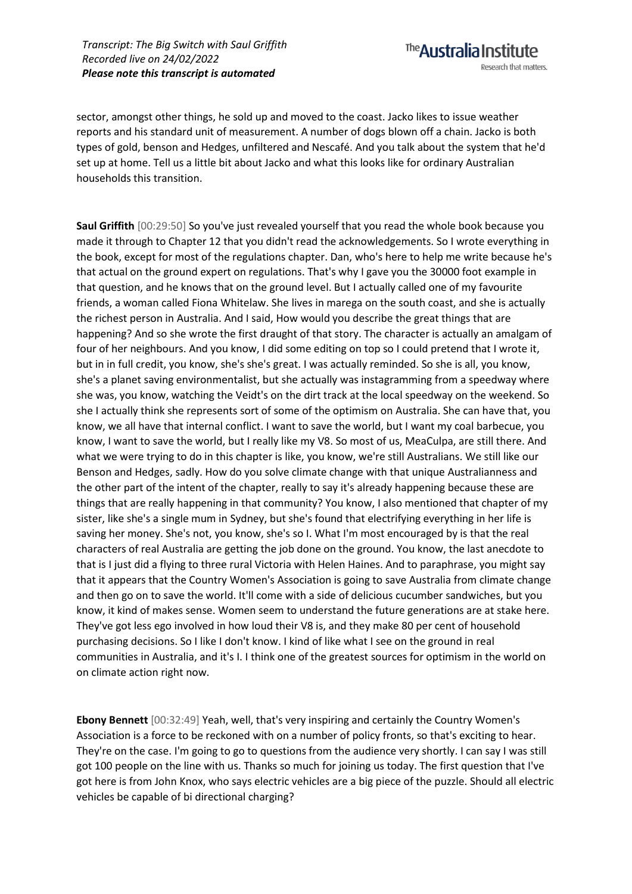The **Australia Institute** Research that matters.

sector, amongst other things, he sold up and moved to the coast. Jacko likes to issue weather reports and his standard unit of measurement. A number of dogs blown off a chain. Jacko is both types of gold, benson and Hedges, unfiltered and Nescafé. And you talk about the system that he'd set up at home. Tell us a little bit about Jacko and what this looks like for ordinary Australian households this transition.

**Saul Griffith** [00:29:50] So you've just revealed yourself that you read the whole book because you made it through to Chapter 12 that you didn't read the acknowledgements. So I wrote everything in the book, except for most of the regulations chapter. Dan, who's here to help me write because he's that actual on the ground expert on regulations. That's why I gave you the 30000 foot example in that question, and he knows that on the ground level. But I actually called one of my favourite friends, a woman called Fiona Whitelaw. She lives in marega on the south coast, and she is actually the richest person in Australia. And I said, How would you describe the great things that are happening? And so she wrote the first draught of that story. The character is actually an amalgam of four of her neighbours. And you know, I did some editing on top so I could pretend that I wrote it, but in in full credit, you know, she's she's great. I was actually reminded. So she is all, you know, she's a planet saving environmentalist, but she actually was instagramming from a speedway where she was, you know, watching the Veidt's on the dirt track at the local speedway on the weekend. So she I actually think she represents sort of some of the optimism on Australia. She can have that, you know, we all have that internal conflict. I want to save the world, but I want my coal barbecue, you know, I want to save the world, but I really like my V8. So most of us, MeaCulpa, are still there. And what we were trying to do in this chapter is like, you know, we're still Australians. We still like our Benson and Hedges, sadly. How do you solve climate change with that unique Australianness and the other part of the intent of the chapter, really to say it's already happening because these are things that are really happening in that community? You know, I also mentioned that chapter of my sister, like she's a single mum in Sydney, but she's found that electrifying everything in her life is saving her money. She's not, you know, she's so I. What I'm most encouraged by is that the real characters of real Australia are getting the job done on the ground. You know, the last anecdote to that is I just did a flying to three rural Victoria with Helen Haines. And to paraphrase, you might say that it appears that the Country Women's Association is going to save Australia from climate change and then go on to save the world. It'll come with a side of delicious cucumber sandwiches, but you know, it kind of makes sense. Women seem to understand the future generations are at stake here. They've got less ego involved in how loud their V8 is, and they make 80 per cent of household purchasing decisions. So I like I don't know. I kind of like what I see on the ground in real communities in Australia, and it's I. I think one of the greatest sources for optimism in the world on on climate action right now.

**Ebony Bennett** [00:32:49] Yeah, well, that's very inspiring and certainly the Country Women's Association is a force to be reckoned with on a number of policy fronts, so that's exciting to hear. They're on the case. I'm going to go to questions from the audience very shortly. I can say I was still got 100 people on the line with us. Thanks so much for joining us today. The first question that I've got here is from John Knox, who says electric vehicles are a big piece of the puzzle. Should all electric vehicles be capable of bi directional charging?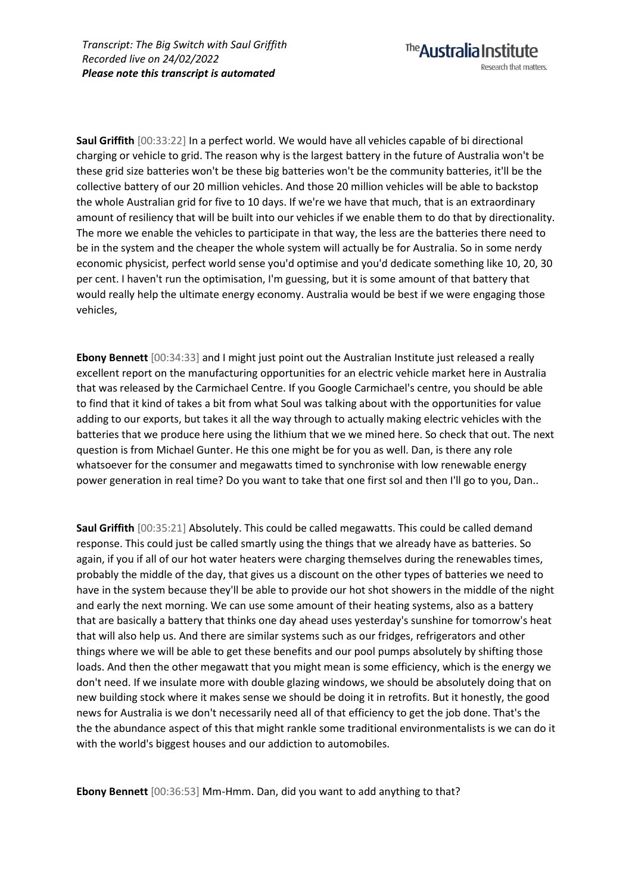**Saul Griffith** [00:33:22] In a perfect world. We would have all vehicles capable of bi directional charging or vehicle to grid. The reason why is the largest battery in the future of Australia won't be these grid size batteries won't be these big batteries won't be the community batteries, it'll be the collective battery of our 20 million vehicles. And those 20 million vehicles will be able to backstop the whole Australian grid for five to 10 days. If we're we have that much, that is an extraordinary amount of resiliency that will be built into our vehicles if we enable them to do that by directionality. The more we enable the vehicles to participate in that way, the less are the batteries there need to be in the system and the cheaper the whole system will actually be for Australia. So in some nerdy economic physicist, perfect world sense you'd optimise and you'd dedicate something like 10, 20, 30 per cent. I haven't run the optimisation, I'm guessing, but it is some amount of that battery that would really help the ultimate energy economy. Australia would be best if we were engaging those vehicles,

The **Australia Institute** 

Research that matters.

**Ebony Bennett** [00:34:33] and I might just point out the Australian Institute just released a really excellent report on the manufacturing opportunities for an electric vehicle market here in Australia that was released by the Carmichael Centre. If you Google Carmichael's centre, you should be able to find that it kind of takes a bit from what Soul was talking about with the opportunities for value adding to our exports, but takes it all the way through to actually making electric vehicles with the batteries that we produce here using the lithium that we we mined here. So check that out. The next question is from Michael Gunter. He this one might be for you as well. Dan, is there any role whatsoever for the consumer and megawatts timed to synchronise with low renewable energy power generation in real time? Do you want to take that one first sol and then I'll go to you, Dan..

**Saul Griffith** [00:35:21] Absolutely. This could be called megawatts. This could be called demand response. This could just be called smartly using the things that we already have as batteries. So again, if you if all of our hot water heaters were charging themselves during the renewables times, probably the middle of the day, that gives us a discount on the other types of batteries we need to have in the system because they'll be able to provide our hot shot showers in the middle of the night and early the next morning. We can use some amount of their heating systems, also as a battery that are basically a battery that thinks one day ahead uses yesterday's sunshine for tomorrow's heat that will also help us. And there are similar systems such as our fridges, refrigerators and other things where we will be able to get these benefits and our pool pumps absolutely by shifting those loads. And then the other megawatt that you might mean is some efficiency, which is the energy we don't need. If we insulate more with double glazing windows, we should be absolutely doing that on new building stock where it makes sense we should be doing it in retrofits. But it honestly, the good news for Australia is we don't necessarily need all of that efficiency to get the job done. That's the the the abundance aspect of this that might rankle some traditional environmentalists is we can do it with the world's biggest houses and our addiction to automobiles.

**Ebony Bennett** [00:36:53] Mm-Hmm. Dan, did you want to add anything to that?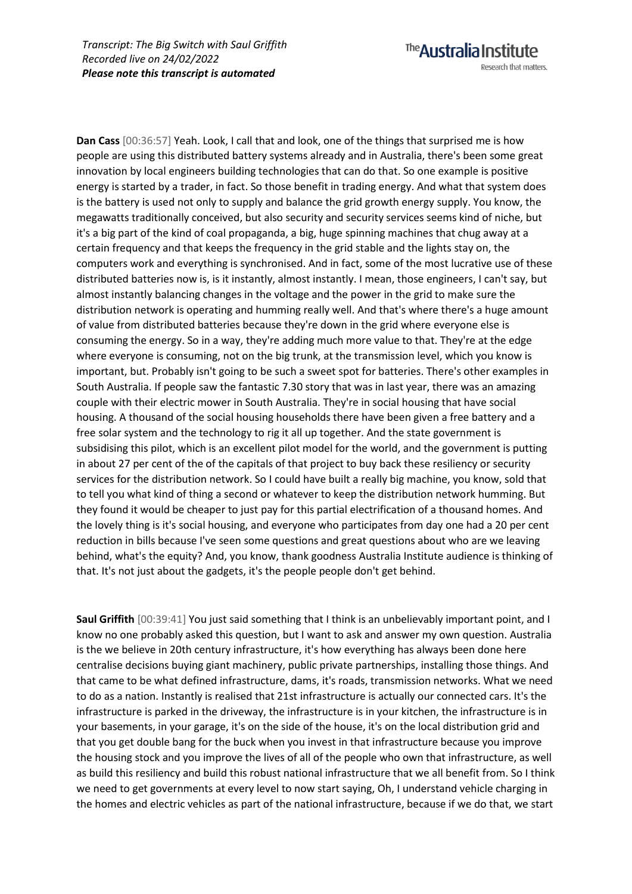**Dan Cass** [00:36:57] Yeah. Look, I call that and look, one of the things that surprised me is how people are using this distributed battery systems already and in Australia, there's been some great innovation by local engineers building technologies that can do that. So one example is positive energy is started by a trader, in fact. So those benefit in trading energy. And what that system does is the battery is used not only to supply and balance the grid growth energy supply. You know, the megawatts traditionally conceived, but also security and security services seems kind of niche, but it's a big part of the kind of coal propaganda, a big, huge spinning machines that chug away at a certain frequency and that keeps the frequency in the grid stable and the lights stay on, the computers work and everything is synchronised. And in fact, some of the most lucrative use of these distributed batteries now is, is it instantly, almost instantly. I mean, those engineers, I can't say, but almost instantly balancing changes in the voltage and the power in the grid to make sure the distribution network is operating and humming really well. And that's where there's a huge amount of value from distributed batteries because they're down in the grid where everyone else is consuming the energy. So in a way, they're adding much more value to that. They're at the edge where everyone is consuming, not on the big trunk, at the transmission level, which you know is important, but. Probably isn't going to be such a sweet spot for batteries. There's other examples in South Australia. If people saw the fantastic 7.30 story that was in last year, there was an amazing couple with their electric mower in South Australia. They're in social housing that have social housing. A thousand of the social housing households there have been given a free battery and a free solar system and the technology to rig it all up together. And the state government is subsidising this pilot, which is an excellent pilot model for the world, and the government is putting in about 27 per cent of the of the capitals of that project to buy back these resiliency or security services for the distribution network. So I could have built a really big machine, you know, sold that to tell you what kind of thing a second or whatever to keep the distribution network humming. But they found it would be cheaper to just pay for this partial electrification of a thousand homes. And the lovely thing is it's social housing, and everyone who participates from day one had a 20 per cent reduction in bills because I've seen some questions and great questions about who are we leaving behind, what's the equity? And, you know, thank goodness Australia Institute audience is thinking of that. It's not just about the gadgets, it's the people people don't get behind.

The **Australia Institute** 

Research that matters.

**Saul Griffith** [00:39:41] You just said something that I think is an unbelievably important point, and I know no one probably asked this question, but I want to ask and answer my own question. Australia is the we believe in 20th century infrastructure, it's how everything has always been done here centralise decisions buying giant machinery, public private partnerships, installing those things. And that came to be what defined infrastructure, dams, it's roads, transmission networks. What we need to do as a nation. Instantly is realised that 21st infrastructure is actually our connected cars. It's the infrastructure is parked in the driveway, the infrastructure is in your kitchen, the infrastructure is in your basements, in your garage, it's on the side of the house, it's on the local distribution grid and that you get double bang for the buck when you invest in that infrastructure because you improve the housing stock and you improve the lives of all of the people who own that infrastructure, as well as build this resiliency and build this robust national infrastructure that we all benefit from. So I think we need to get governments at every level to now start saying, Oh, I understand vehicle charging in the homes and electric vehicles as part of the national infrastructure, because if we do that, we start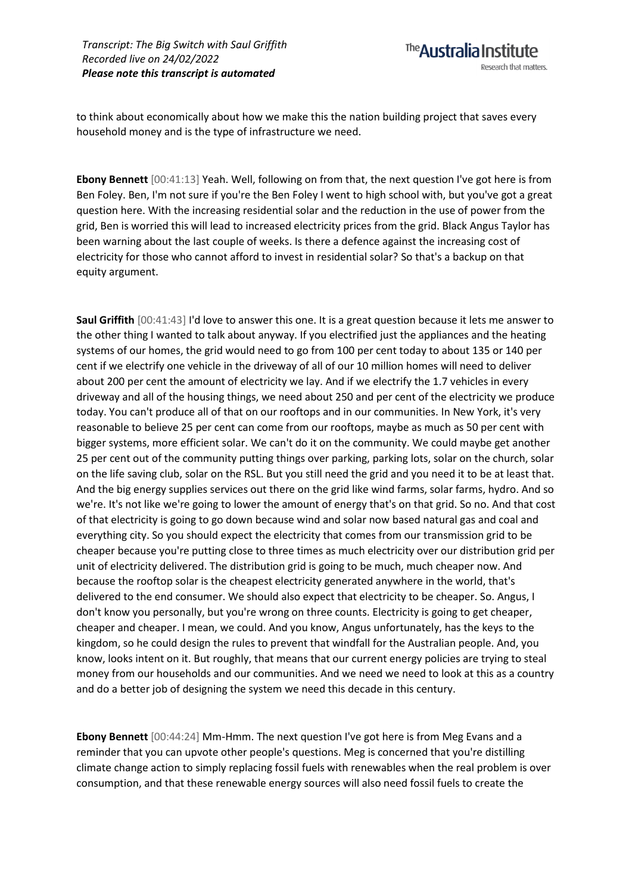to think about economically about how we make this the nation building project that saves every household money and is the type of infrastructure we need.

**Ebony Bennett** [00:41:13] Yeah. Well, following on from that, the next question I've got here is from Ben Foley. Ben, I'm not sure if you're the Ben Foley I went to high school with, but you've got a great question here. With the increasing residential solar and the reduction in the use of power from the grid, Ben is worried this will lead to increased electricity prices from the grid. Black Angus Taylor has been warning about the last couple of weeks. Is there a defence against the increasing cost of electricity for those who cannot afford to invest in residential solar? So that's a backup on that equity argument.

**Saul Griffith** [00:41:43] I'd love to answer this one. It is a great question because it lets me answer to the other thing I wanted to talk about anyway. If you electrified just the appliances and the heating systems of our homes, the grid would need to go from 100 per cent today to about 135 or 140 per cent if we electrify one vehicle in the driveway of all of our 10 million homes will need to deliver about 200 per cent the amount of electricity we lay. And if we electrify the 1.7 vehicles in every driveway and all of the housing things, we need about 250 and per cent of the electricity we produce today. You can't produce all of that on our rooftops and in our communities. In New York, it's very reasonable to believe 25 per cent can come from our rooftops, maybe as much as 50 per cent with bigger systems, more efficient solar. We can't do it on the community. We could maybe get another 25 per cent out of the community putting things over parking, parking lots, solar on the church, solar on the life saving club, solar on the RSL. But you still need the grid and you need it to be at least that. And the big energy supplies services out there on the grid like wind farms, solar farms, hydro. And so we're. It's not like we're going to lower the amount of energy that's on that grid. So no. And that cost of that electricity is going to go down because wind and solar now based natural gas and coal and everything city. So you should expect the electricity that comes from our transmission grid to be cheaper because you're putting close to three times as much electricity over our distribution grid per unit of electricity delivered. The distribution grid is going to be much, much cheaper now. And because the rooftop solar is the cheapest electricity generated anywhere in the world, that's delivered to the end consumer. We should also expect that electricity to be cheaper. So. Angus, I don't know you personally, but you're wrong on three counts. Electricity is going to get cheaper, cheaper and cheaper. I mean, we could. And you know, Angus unfortunately, has the keys to the kingdom, so he could design the rules to prevent that windfall for the Australian people. And, you know, looks intent on it. But roughly, that means that our current energy policies are trying to steal money from our households and our communities. And we need we need to look at this as a country and do a better job of designing the system we need this decade in this century.

**Ebony Bennett** [00:44:24] Mm-Hmm. The next question I've got here is from Meg Evans and a reminder that you can upvote other people's questions. Meg is concerned that you're distilling climate change action to simply replacing fossil fuels with renewables when the real problem is over consumption, and that these renewable energy sources will also need fossil fuels to create the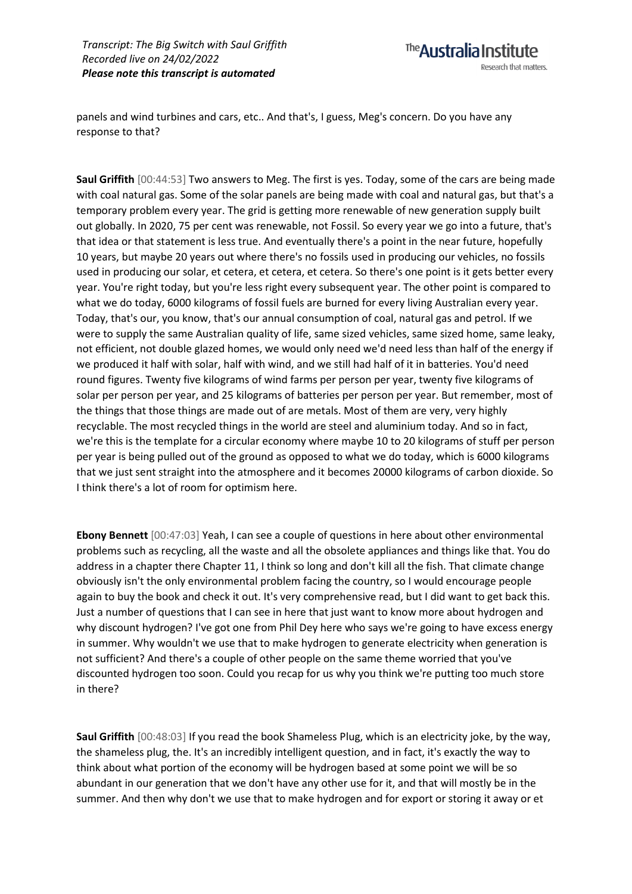panels and wind turbines and cars, etc.. And that's, I guess, Meg's concern. Do you have any response to that?

**Saul Griffith** [00:44:53] Two answers to Meg. The first is yes. Today, some of the cars are being made with coal natural gas. Some of the solar panels are being made with coal and natural gas, but that's a temporary problem every year. The grid is getting more renewable of new generation supply built out globally. In 2020, 75 per cent was renewable, not Fossil. So every year we go into a future, that's that idea or that statement is less true. And eventually there's a point in the near future, hopefully 10 years, but maybe 20 years out where there's no fossils used in producing our vehicles, no fossils used in producing our solar, et cetera, et cetera, et cetera. So there's one point is it gets better every year. You're right today, but you're less right every subsequent year. The other point is compared to what we do today, 6000 kilograms of fossil fuels are burned for every living Australian every year. Today, that's our, you know, that's our annual consumption of coal, natural gas and petrol. If we were to supply the same Australian quality of life, same sized vehicles, same sized home, same leaky, not efficient, not double glazed homes, we would only need we'd need less than half of the energy if we produced it half with solar, half with wind, and we still had half of it in batteries. You'd need round figures. Twenty five kilograms of wind farms per person per year, twenty five kilograms of solar per person per year, and 25 kilograms of batteries per person per year. But remember, most of the things that those things are made out of are metals. Most of them are very, very highly recyclable. The most recycled things in the world are steel and aluminium today. And so in fact, we're this is the template for a circular economy where maybe 10 to 20 kilograms of stuff per person per year is being pulled out of the ground as opposed to what we do today, which is 6000 kilograms that we just sent straight into the atmosphere and it becomes 20000 kilograms of carbon dioxide. So I think there's a lot of room for optimism here.

**Ebony Bennett** [00:47:03] Yeah, I can see a couple of questions in here about other environmental problems such as recycling, all the waste and all the obsolete appliances and things like that. You do address in a chapter there Chapter 11, I think so long and don't kill all the fish. That climate change obviously isn't the only environmental problem facing the country, so I would encourage people again to buy the book and check it out. It's very comprehensive read, but I did want to get back this. Just a number of questions that I can see in here that just want to know more about hydrogen and why discount hydrogen? I've got one from Phil Dey here who says we're going to have excess energy in summer. Why wouldn't we use that to make hydrogen to generate electricity when generation is not sufficient? And there's a couple of other people on the same theme worried that you've discounted hydrogen too soon. Could you recap for us why you think we're putting too much store in there?

**Saul Griffith** [00:48:03] If you read the book Shameless Plug, which is an electricity joke, by the way, the shameless plug, the. It's an incredibly intelligent question, and in fact, it's exactly the way to think about what portion of the economy will be hydrogen based at some point we will be so abundant in our generation that we don't have any other use for it, and that will mostly be in the summer. And then why don't we use that to make hydrogen and for export or storing it away or et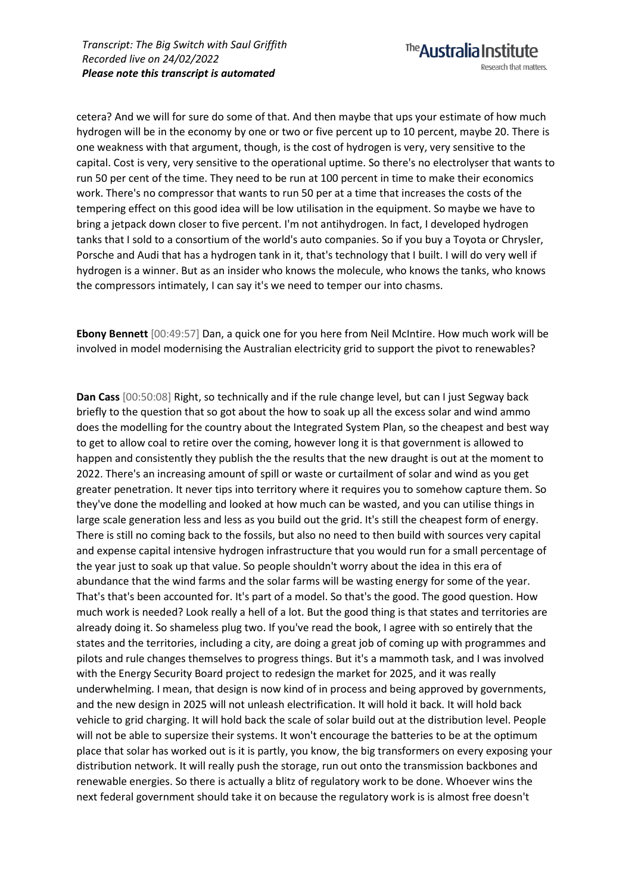cetera? And we will for sure do some of that. And then maybe that ups your estimate of how much hydrogen will be in the economy by one or two or five percent up to 10 percent, maybe 20. There is one weakness with that argument, though, is the cost of hydrogen is very, very sensitive to the capital. Cost is very, very sensitive to the operational uptime. So there's no electrolyser that wants to run 50 per cent of the time. They need to be run at 100 percent in time to make their economics work. There's no compressor that wants to run 50 per at a time that increases the costs of the tempering effect on this good idea will be low utilisation in the equipment. So maybe we have to bring a jetpack down closer to five percent. I'm not antihydrogen. In fact, I developed hydrogen tanks that I sold to a consortium of the world's auto companies. So if you buy a Toyota or Chrysler, Porsche and Audi that has a hydrogen tank in it, that's technology that I built. I will do very well if hydrogen is a winner. But as an insider who knows the molecule, who knows the tanks, who knows the compressors intimately, I can say it's we need to temper our into chasms.

**Ebony Bennett** [00:49:57] Dan, a quick one for you here from Neil McIntire. How much work will be involved in model modernising the Australian electricity grid to support the pivot to renewables?

**Dan Cass** [00:50:08] Right, so technically and if the rule change level, but can I just Segway back briefly to the question that so got about the how to soak up all the excess solar and wind ammo does the modelling for the country about the Integrated System Plan, so the cheapest and best way to get to allow coal to retire over the coming, however long it is that government is allowed to happen and consistently they publish the the results that the new draught is out at the moment to 2022. There's an increasing amount of spill or waste or curtailment of solar and wind as you get greater penetration. It never tips into territory where it requires you to somehow capture them. So they've done the modelling and looked at how much can be wasted, and you can utilise things in large scale generation less and less as you build out the grid. It's still the cheapest form of energy. There is still no coming back to the fossils, but also no need to then build with sources very capital and expense capital intensive hydrogen infrastructure that you would run for a small percentage of the year just to soak up that value. So people shouldn't worry about the idea in this era of abundance that the wind farms and the solar farms will be wasting energy for some of the year. That's that's been accounted for. It's part of a model. So that's the good. The good question. How much work is needed? Look really a hell of a lot. But the good thing is that states and territories are already doing it. So shameless plug two. If you've read the book, I agree with so entirely that the states and the territories, including a city, are doing a great job of coming up with programmes and pilots and rule changes themselves to progress things. But it's a mammoth task, and I was involved with the Energy Security Board project to redesign the market for 2025, and it was really underwhelming. I mean, that design is now kind of in process and being approved by governments, and the new design in 2025 will not unleash electrification. It will hold it back. It will hold back vehicle to grid charging. It will hold back the scale of solar build out at the distribution level. People will not be able to supersize their systems. It won't encourage the batteries to be at the optimum place that solar has worked out is it is partly, you know, the big transformers on every exposing your distribution network. It will really push the storage, run out onto the transmission backbones and renewable energies. So there is actually a blitz of regulatory work to be done. Whoever wins the next federal government should take it on because the regulatory work is is almost free doesn't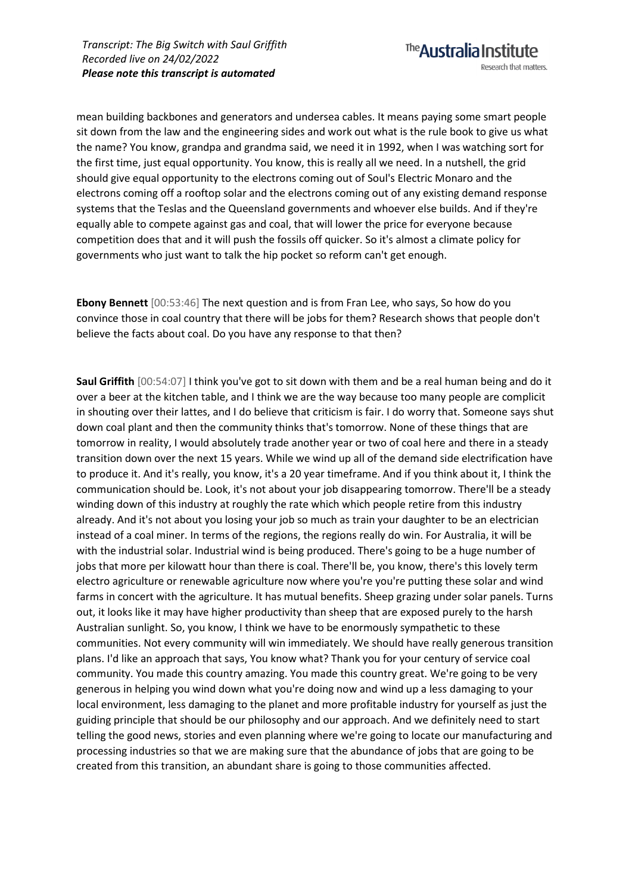mean building backbones and generators and undersea cables. It means paying some smart people sit down from the law and the engineering sides and work out what is the rule book to give us what the name? You know, grandpa and grandma said, we need it in 1992, when I was watching sort for the first time, just equal opportunity. You know, this is really all we need. In a nutshell, the grid should give equal opportunity to the electrons coming out of Soul's Electric Monaro and the electrons coming off a rooftop solar and the electrons coming out of any existing demand response systems that the Teslas and the Queensland governments and whoever else builds. And if they're equally able to compete against gas and coal, that will lower the price for everyone because competition does that and it will push the fossils off quicker. So it's almost a climate policy for governments who just want to talk the hip pocket so reform can't get enough.

**Ebony Bennett** [00:53:46] The next question and is from Fran Lee, who says, So how do you convince those in coal country that there will be jobs for them? Research shows that people don't believe the facts about coal. Do you have any response to that then?

**Saul Griffith** [00:54:07] I think you've got to sit down with them and be a real human being and do it over a beer at the kitchen table, and I think we are the way because too many people are complicit in shouting over their lattes, and I do believe that criticism is fair. I do worry that. Someone says shut down coal plant and then the community thinks that's tomorrow. None of these things that are tomorrow in reality, I would absolutely trade another year or two of coal here and there in a steady transition down over the next 15 years. While we wind up all of the demand side electrification have to produce it. And it's really, you know, it's a 20 year timeframe. And if you think about it, I think the communication should be. Look, it's not about your job disappearing tomorrow. There'll be a steady winding down of this industry at roughly the rate which which people retire from this industry already. And it's not about you losing your job so much as train your daughter to be an electrician instead of a coal miner. In terms of the regions, the regions really do win. For Australia, it will be with the industrial solar. Industrial wind is being produced. There's going to be a huge number of jobs that more per kilowatt hour than there is coal. There'll be, you know, there's this lovely term electro agriculture or renewable agriculture now where you're you're putting these solar and wind farms in concert with the agriculture. It has mutual benefits. Sheep grazing under solar panels. Turns out, it looks like it may have higher productivity than sheep that are exposed purely to the harsh Australian sunlight. So, you know, I think we have to be enormously sympathetic to these communities. Not every community will win immediately. We should have really generous transition plans. I'd like an approach that says, You know what? Thank you for your century of service coal community. You made this country amazing. You made this country great. We're going to be very generous in helping you wind down what you're doing now and wind up a less damaging to your local environment, less damaging to the planet and more profitable industry for yourself as just the guiding principle that should be our philosophy and our approach. And we definitely need to start telling the good news, stories and even planning where we're going to locate our manufacturing and processing industries so that we are making sure that the abundance of jobs that are going to be created from this transition, an abundant share is going to those communities affected.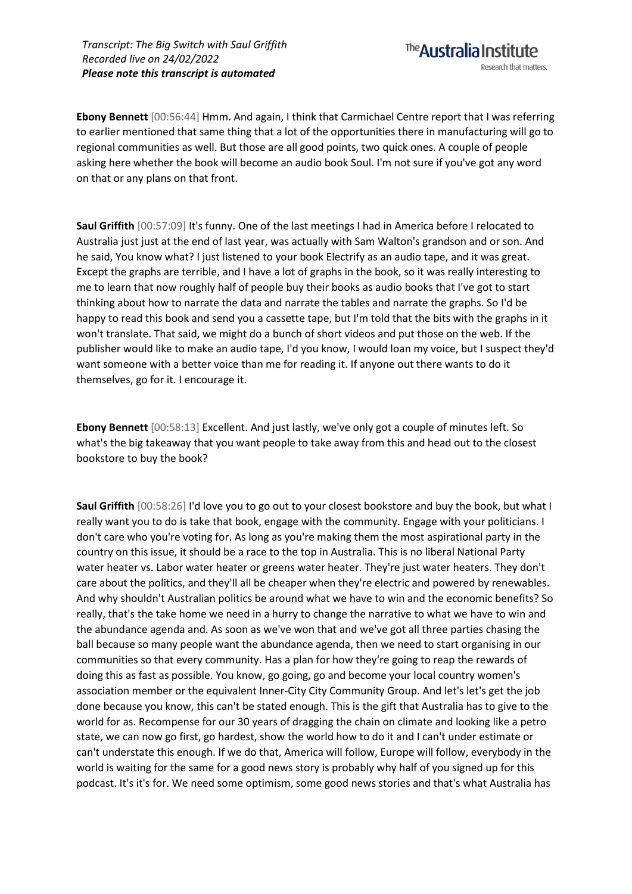The **Australia Institute** Research that matters.

**Ebony Bennett** [00:56:44] Hmm. And again, I think that Carmichael Centre report that I was referring to earlier mentioned that same thing that a lot of the opportunities there in manufacturing will go to regional communities as well. But those are all good points, two quick ones. A couple of people asking here whether the book will become an audio book Soul. I'm not sure if you've got any word on that or any plans on that front.

**Saul Griffith** [00:57:09] It's funny. One of the last meetings I had in America before I relocated to Australia just just at the end of last year, was actually with Sam Walton's grandson and or son. And he said, You know what? I just listened to your book Electrify as an audio tape, and it was great. Except the graphs are terrible, and I have a lot of graphs in the book, so it was really interesting to me to learn that now roughly half of people buy their books as audio books that I've got to start thinking about how to narrate the data and narrate the tables and narrate the graphs. So I'd be happy to read this book and send you a cassette tape, but I'm told that the bits with the graphs in it won't translate. That said, we might do a bunch of short videos and put those on the web. If the publisher would like to make an audio tape, I'd you know, I would loan my voice, but I suspect they'd want someone with a better voice than me for reading it. If anyone out there wants to do it themselves, go for it. I encourage it.

**Ebony Bennett** [00:58:13] Excellent. And just lastly, we've only got a couple of minutes left. So what's the big takeaway that you want people to take away from this and head out to the closest bookstore to buy the book?

**Saul Griffith** [00:58:26] I'd love you to go out to your closest bookstore and buy the book, but what I really want you to do is take that book, engage with the community. Engage with your politicians. I don't care who you're voting for. As long as you're making them the most aspirational party in the country on this issue, it should be a race to the top in Australia. This is no liberal National Party water heater vs. Labor water heater or greens water heater. They're just water heaters. They don't care about the politics, and they'll all be cheaper when they're electric and powered by renewables. And why shouldn't Australian politics be around what we have to win and the economic benefits? So really, that's the take home we need in a hurry to change the narrative to what we have to win and the abundance agenda and. As soon as we've won that and we've got all three parties chasing the ball because so many people want the abundance agenda, then we need to start organising in our communities so that every community. Has a plan for how they're going to reap the rewards of doing this as fast as possible. You know, go going, go and become your local country women's association member or the equivalent Inner-City City Community Group. And let's let's get the job done because you know, this can't be stated enough. This is the gift that Australia has to give to the world for as. Recompense for our 30 years of dragging the chain on climate and looking like a petro state, we can now go first, go hardest, show the world how to do it and I can't under estimate or can't understate this enough. If we do that, America will follow, Europe will follow, everybody in the world is waiting for the same for a good news story is probably why half of you signed up for this podcast. It's it's for. We need some optimism, some good news stories and that's what Australia has